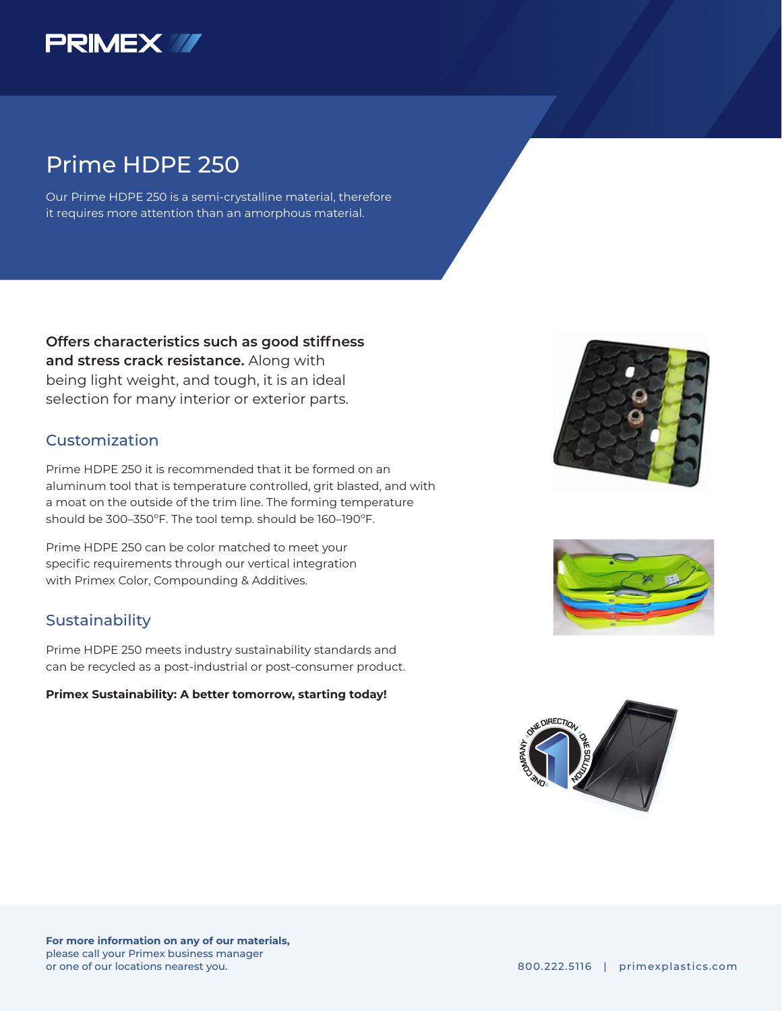

## Prime HDPE 250

Our Prime HDPE 250 is a semi-crystalline material, therefore it requires more attention than an amorphous material.

**Offers characteristics such as good stiffness and stress crack resistance.** Along with being light weight, and tough, it is an ideal selection for many interior or exterior parts.

### Customization

Prime HDPE 250 it is recommended that it be formed on an aluminum tool that is temperature controlled, grit blasted, and with a moat on the outside of the trim line. The forming temperature should be 300–350ºF. The tool temp. should be 160–190ºF.

Prime HDPE 250 can be color matched to meet your specific requirements through our vertical integration with Primex Color, Compounding & Additives.

### **Sustainability**

Prime HDPE 250 meets industry sustainability standards and can be recycled as a post-industrial or post-consumer product.

#### **Primex Sustainability: A better tomorrow, starting today!**